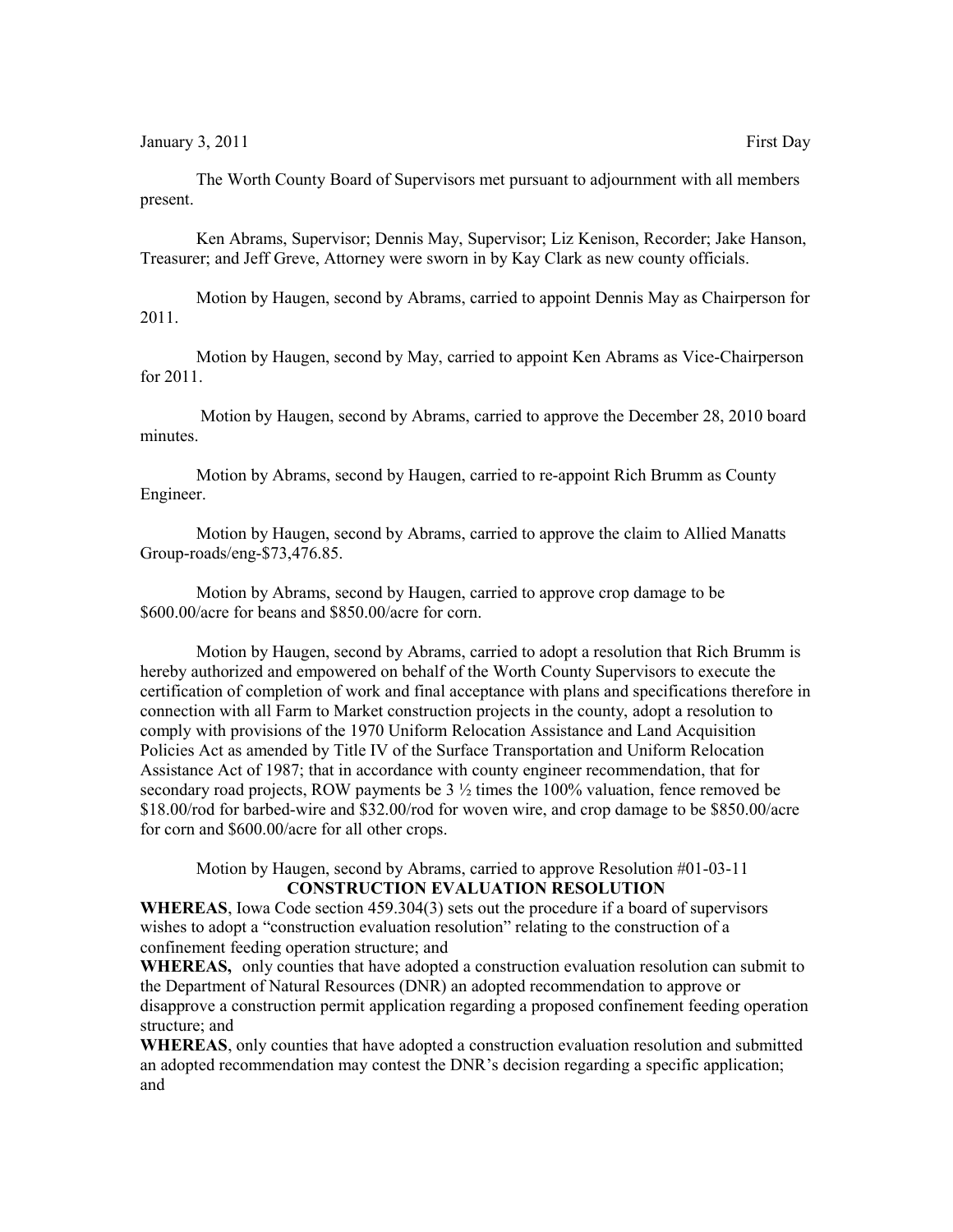January 3, 2011 **First Day** 

The Worth County Board of Supervisors met pursuant to adjournment with all members present.

Ken Abrams, Supervisor; Dennis May, Supervisor; Liz Kenison, Recorder; Jake Hanson, Treasurer; and Jeff Greve, Attorney were sworn in by Kay Clark as new county officials.

Motion by Haugen, second by Abrams, carried to appoint Dennis May as Chairperson for 2011.

Motion by Haugen, second by May, carried to appoint Ken Abrams as Vice-Chairperson for 2011.

 Motion by Haugen, second by Abrams, carried to approve the December 28, 2010 board minutes.

Motion by Abrams, second by Haugen, carried to re-appoint Rich Brumm as County Engineer.

Motion by Haugen, second by Abrams, carried to approve the claim to Allied Manatts Group-roads/eng-\$73,476.85.

Motion by Abrams, second by Haugen, carried to approve crop damage to be \$600.00/acre for beans and \$850.00/acre for corn.

Motion by Haugen, second by Abrams, carried to adopt a resolution that Rich Brumm is hereby authorized and empowered on behalf of the Worth County Supervisors to execute the certification of completion of work and final acceptance with plans and specifications therefore in connection with all Farm to Market construction projects in the county, adopt a resolution to comply with provisions of the 1970 Uniform Relocation Assistance and Land Acquisition Policies Act as amended by Title IV of the Surface Transportation and Uniform Relocation Assistance Act of 1987; that in accordance with county engineer recommendation, that for secondary road projects, ROW payments be  $3\frac{1}{2}$  times the 100% valuation, fence removed be \$18.00/rod for barbed-wire and \$32.00/rod for woven wire, and crop damage to be \$850.00/acre for corn and \$600.00/acre for all other crops.

Motion by Haugen, second by Abrams, carried to approve Resolution #01-03-11 **CONSTRUCTION EVALUATION RESOLUTION**

**WHEREAS**, Iowa Code section 459.304(3) sets out the procedure if a board of supervisors wishes to adopt a "construction evaluation resolution" relating to the construction of a confinement feeding operation structure; and

**WHEREAS,** only counties that have adopted a construction evaluation resolution can submit to the Department of Natural Resources (DNR) an adopted recommendation to approve or disapprove a construction permit application regarding a proposed confinement feeding operation structure; and

**WHEREAS**, only counties that have adopted a construction evaluation resolution and submitted an adopted recommendation may contest the DNR's decision regarding a specific application; and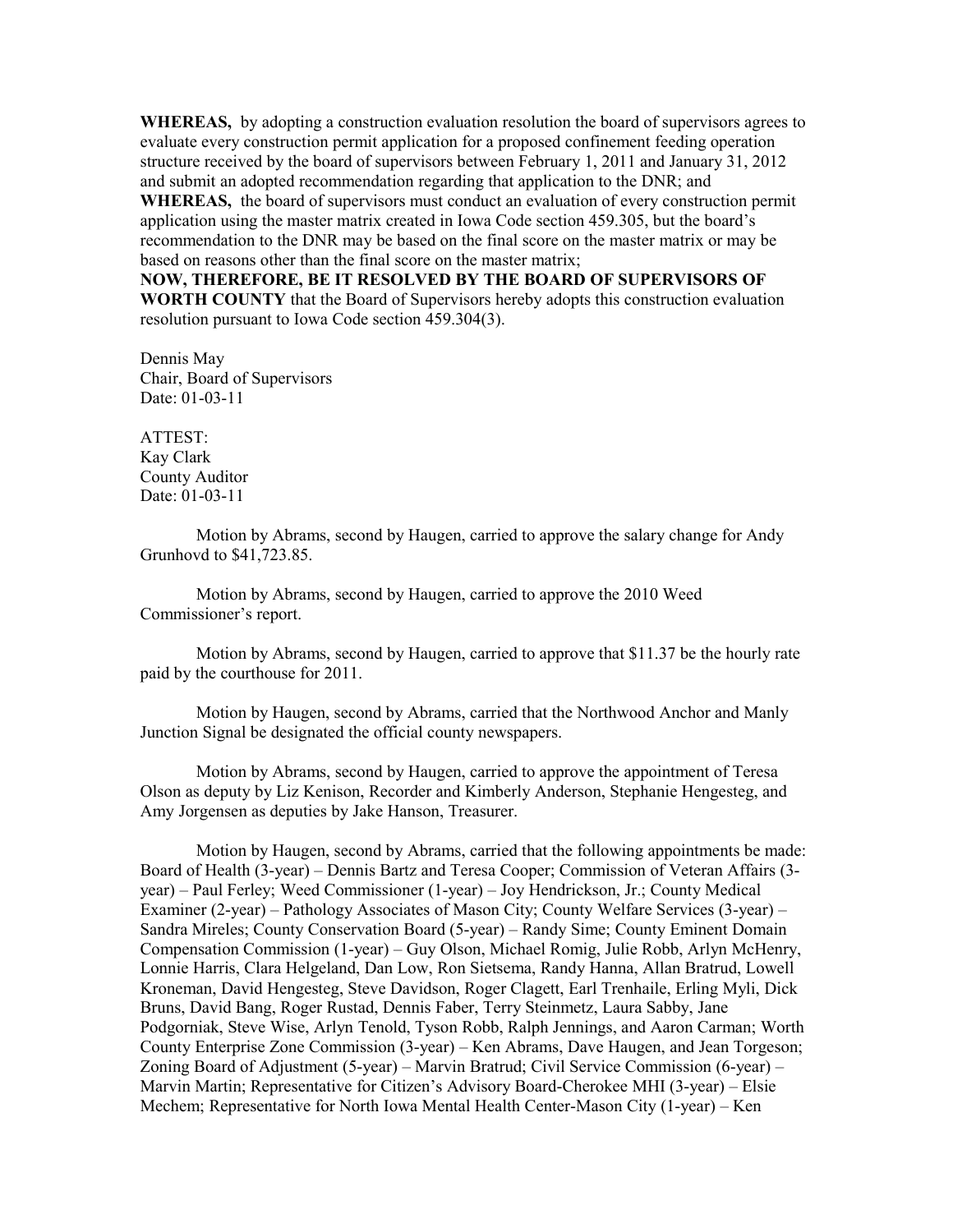**WHEREAS,** by adopting a construction evaluation resolution the board of supervisors agrees to evaluate every construction permit application for a proposed confinement feeding operation structure received by the board of supervisors between February 1, 2011 and January 31, 2012 and submit an adopted recommendation regarding that application to the DNR; and

**WHEREAS,** the board of supervisors must conduct an evaluation of every construction permit application using the master matrix created in Iowa Code section 459.305, but the board's recommendation to the DNR may be based on the final score on the master matrix or may be based on reasons other than the final score on the master matrix;

**NOW, THEREFORE, BE IT RESOLVED BY THE BOARD OF SUPERVISORS OF WORTH COUNTY** that the Board of Supervisors hereby adopts this construction evaluation resolution pursuant to Iowa Code section 459.304(3).

Dennis May Chair, Board of Supervisors Date: 01-03-11

ATTEST: Kay Clark County Auditor Date: 01-03-11

Motion by Abrams, second by Haugen, carried to approve the salary change for Andy Grunhovd to \$41,723.85.

Motion by Abrams, second by Haugen, carried to approve the 2010 Weed Commissioner's report.

Motion by Abrams, second by Haugen, carried to approve that \$11.37 be the hourly rate paid by the courthouse for 2011.

Motion by Haugen, second by Abrams, carried that the Northwood Anchor and Manly Junction Signal be designated the official county newspapers.

Motion by Abrams, second by Haugen, carried to approve the appointment of Teresa Olson as deputy by Liz Kenison, Recorder and Kimberly Anderson, Stephanie Hengesteg, and Amy Jorgensen as deputies by Jake Hanson, Treasurer.

Motion by Haugen, second by Abrams, carried that the following appointments be made: Board of Health (3-year) – Dennis Bartz and Teresa Cooper; Commission of Veteran Affairs (3 year) – Paul Ferley; Weed Commissioner (1-year) – Joy Hendrickson, Jr.; County Medical Examiner (2-year) – Pathology Associates of Mason City; County Welfare Services (3-year) – Sandra Mireles; County Conservation Board (5-year) – Randy Sime; County Eminent Domain Compensation Commission (1-year) – Guy Olson, Michael Romig, Julie Robb, Arlyn McHenry, Lonnie Harris, Clara Helgeland, Dan Low, Ron Sietsema, Randy Hanna, Allan Bratrud, Lowell Kroneman, David Hengesteg, Steve Davidson, Roger Clagett, Earl Trenhaile, Erling Myli, Dick Bruns, David Bang, Roger Rustad, Dennis Faber, Terry Steinmetz, Laura Sabby, Jane Podgorniak, Steve Wise, Arlyn Tenold, Tyson Robb, Ralph Jennings, and Aaron Carman; Worth County Enterprise Zone Commission (3-year) – Ken Abrams, Dave Haugen, and Jean Torgeson; Zoning Board of Adjustment (5-year) – Marvin Bratrud; Civil Service Commission (6-year) – Marvin Martin; Representative for Citizen's Advisory Board-Cherokee MHI (3-year) – Elsie Mechem; Representative for North Iowa Mental Health Center-Mason City (1-year) – Ken